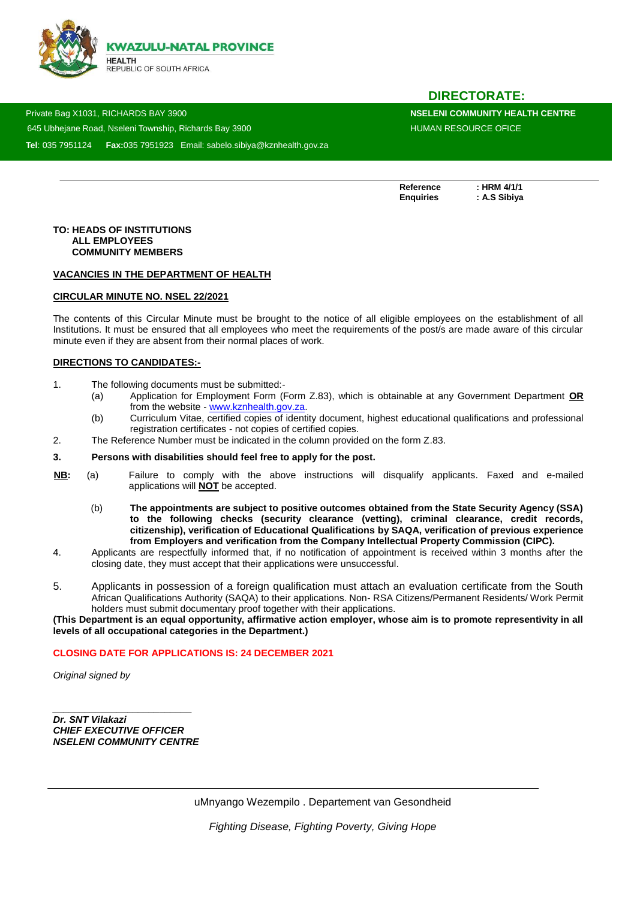

# **DIRECTORATE:**

 Private Bag X1031, RICHARDS BAY 3900 **NSELENI COMMUNITY HEALTH CENTRE**  645 Ubheiane Road, Nseleni Township, Richards Bay 3900 HUMAN RESOURCE OFICE **Tel**: 035 7951124 **Fax:**035 7951923 Email: sabelo.sibiya@kznhealth.gov.za

Reference : HRM 4/1/1<br>Enquiries : A.S Sibiya

**Enquiries : A.S Sibiya**

#### **TO: HEADS OF INSTITUTIONS ALL EMPLOYEES COMMUNITY MEMBERS**

www.knheh.go

#### **VACANCIES IN THE DEPARTMENT OF HEALTH**

### **CIRCULAR MINUTE NO. NSEL 22/2021**

The contents of this Circular Minute must be brought to the notice of all eligible employees on the establishment of all Institutions. It must be ensured that all employees who meet the requirements of the post/s are made aware of this circular minute even if they are absent from their normal places of work.

### **DIRECTIONS TO CANDIDATES:-**

- 1. The following documents must be submitted:-
	- (a) Application for Employment Form (Form Z.83), which is obtainable at any Government Department **OR** from the website - [www.kznhealth.gov.za.](http://www.kznhealth.gov.za/)
	- (b) Curriculum Vitae, certified copies of identity document, highest educational qualifications and professional registration certificates - not copies of certified copies.
- 2. The Reference Number must be indicated in the column provided on the form Z.83.

#### **3. Persons with disabilities should feel free to apply for the post.**

- **NB:** (a) Failure to comply with the above instructions will disqualify applicants. Faxed and e-mailed applications will **NOT** be accepted.
	- (b) **The appointments are subject to positive outcomes obtained from the State Security Agency (SSA) to the following checks (security clearance (vetting), criminal clearance, credit records, citizenship), verification of Educational Qualifications by SAQA, verification of previous experience from Employers and verification from the Company Intellectual Property Commission (CIPC).**
- 4. Applicants are respectfully informed that, if no notification of appointment is received within 3 months after the closing date, they must accept that their applications were unsuccessful.
- 5. Applicants in possession of a foreign qualification must attach an evaluation certificate from the South African Qualifications Authority (SAQA) to their applications. Non- RSA Citizens/Permanent Residents/ Work Permit holders must submit documentary proof together with their applications.

**(This Department is an equal opportunity, affirmative action employer, whose aim is to promote representivity in all levels of all occupational categories in the Department.)**

#### **CLOSING DATE FOR APPLICATIONS IS: 24 DECEMBER 2021**

*Original signed by* 

*Dr. SNT Vilakazi CHIEF EXECUTIVE OFFICER NSELENI COMMUNITY CENTRE*

*\_\_\_\_\_\_\_\_\_\_\_\_\_\_\_\_\_\_\_\_\_\_\_\_\_\_*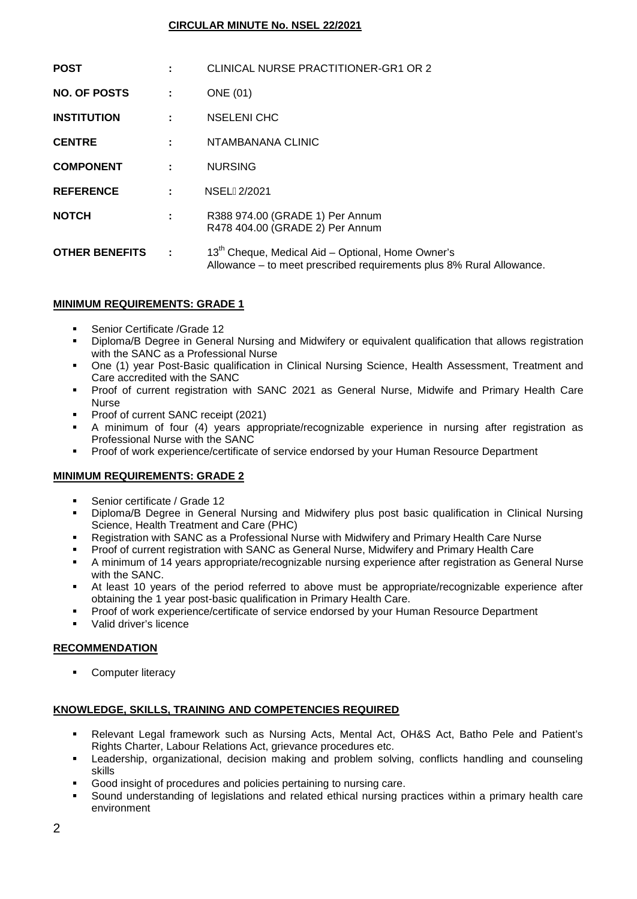# **CIRCULAR MINUTE No. NSEL 22/2021**

| <b>POST</b>           |           | CLINICAL NURSE PRACTITIONER-GR1 OR 2                                                                                                  |
|-----------------------|-----------|---------------------------------------------------------------------------------------------------------------------------------------|
| <b>NO. OF POSTS</b>   | ÷         | ONE (01)                                                                                                                              |
| <b>INSTITUTION</b>    | the c     | <b>NSELENI CHC</b>                                                                                                                    |
| <b>CENTRE</b>         | ÷.        | NTAMBANANA CLINIC                                                                                                                     |
| <b>COMPONENT</b>      |           | <b>NURSING</b>                                                                                                                        |
| <b>REFERENCE</b>      |           | NSELG2/2021                                                                                                                           |
| <b>NOTCH</b>          | ÷         | R388 974.00 (GRADE 1) Per Annum<br>R478 404.00 (GRADE 2) Per Annum                                                                    |
| <b>OTHER BENEFITS</b> | $\sim$ 1. | 13 <sup>th</sup> Cheque, Medical Aid - Optional, Home Owner's<br>Allowance – to meet prescribed requirements plus 8% Rural Allowance. |

# **MINIMUM REQUIREMENTS: GRADE 1**

- Senior Certificate /Grade 12
- Diploma/B Degree in General Nursing and Midwifery or equivalent qualification that allows registration with the SANC as a Professional Nurse
- One (1) year Post-Basic qualification in Clinical Nursing Science, Health Assessment, Treatment and Care accredited with the SANC
- Proof of current registration with SANC 2021 as General Nurse, Midwife and Primary Health Care Nurse
- Proof of current SANC receipt (2021)
- A minimum of four (4) years appropriate/recognizable experience in nursing after registration as Professional Nurse with the SANC
- **Proof of work experience/certificate of service endorsed by your Human Resource Department**

### **MINIMUM REQUIREMENTS: GRADE 2**

- Senior certificate / Grade 12
- Diploma/B Degree in General Nursing and Midwifery plus post basic qualification in Clinical Nursing Science, Health Treatment and Care (PHC)
- Registration with SANC as a Professional Nurse with Midwifery and Primary Health Care Nurse
- Proof of current registration with SANC as General Nurse, Midwifery and Primary Health Care
- A minimum of 14 years appropriate/recognizable nursing experience after registration as General Nurse with the SANC.
- At least 10 years of the period referred to above must be appropriate/recognizable experience after obtaining the 1 year post-basic qualification in Primary Health Care.
- Proof of work experience/certificate of service endorsed by your Human Resource Department
- Valid driver's licence

### **RECOMMENDATION**

**•** Computer literacy

### **KNOWLEDGE, SKILLS, TRAINING AND COMPETENCIES REQUIRED**

- Relevant Legal framework such as Nursing Acts, Mental Act, OH&S Act, Batho Pele and Patient's Rights Charter, Labour Relations Act, grievance procedures etc.
- Leadership, organizational, decision making and problem solving, conflicts handling and counseling skills
- Good insight of procedures and policies pertaining to nursing care.
- Sound understanding of legislations and related ethical nursing practices within a primary health care environment